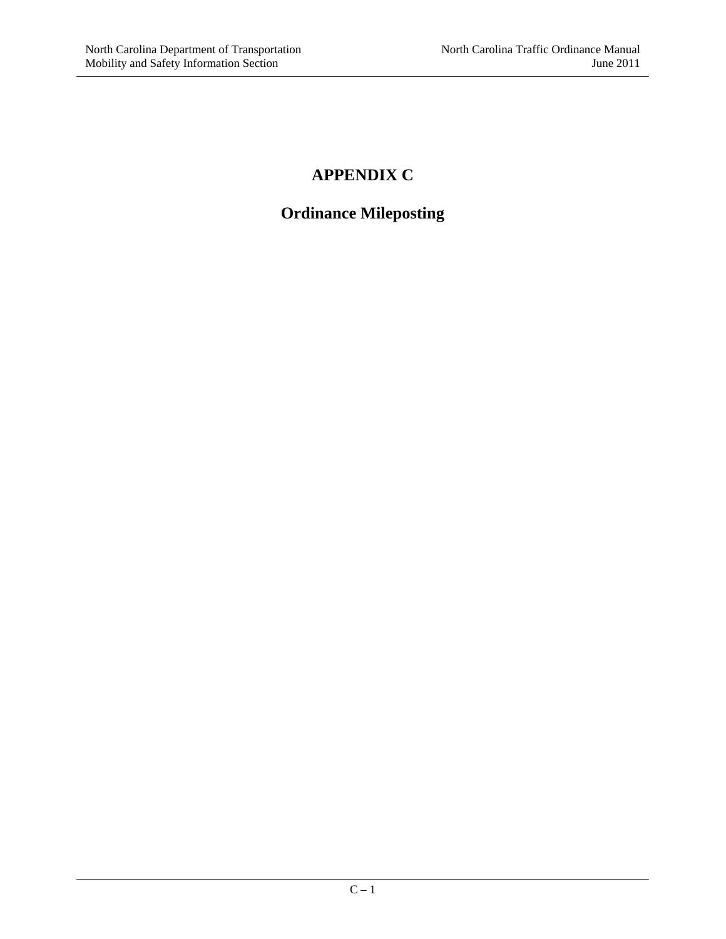### **APPENDIX C**

# **Ordinance Mileposting**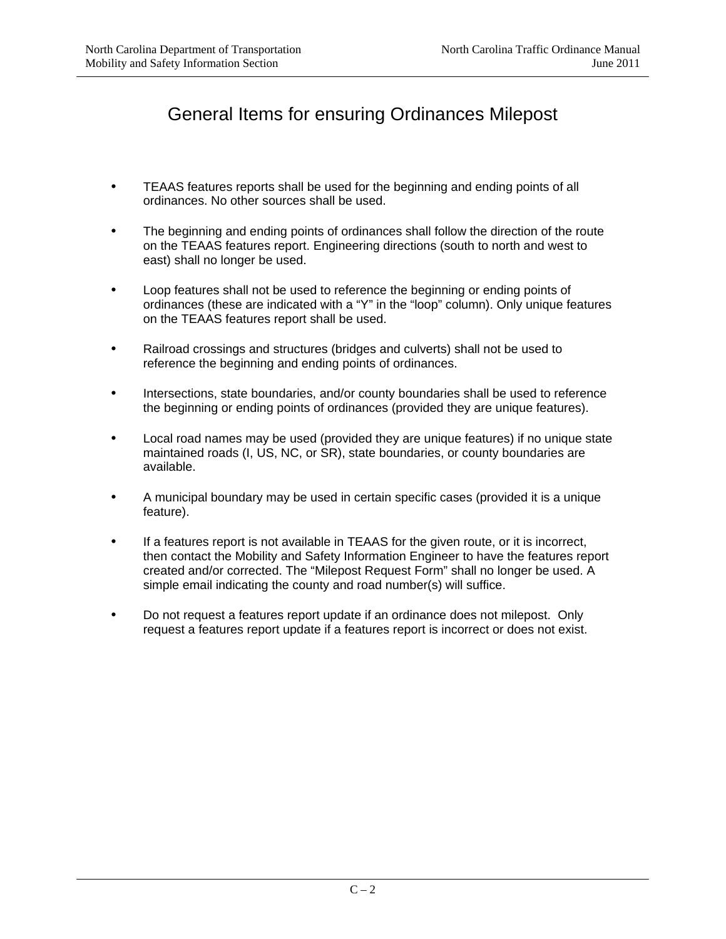# General Items for ensuring Ordinances Milepost

- TEAAS features reports shall be used for the beginning and ending points of all ordinances. No other sources shall be used.
- The beginning and ending points of ordinances shall follow the direction of the route on the TEAAS features report. Engineering directions (south to north and west to east) shall no longer be used.
- Loop features shall not be used to reference the beginning or ending points of ordinances (these are indicated with a "Y" in the "loop" column). Only unique features on the TEAAS features report shall be used.
- Railroad crossings and structures (bridges and culverts) shall not be used to reference the beginning and ending points of ordinances.
- Intersections, state boundaries, and/or county boundaries shall be used to reference the beginning or ending points of ordinances (provided they are unique features).
- Local road names may be used (provided they are unique features) if no unique state maintained roads (I, US, NC, or SR), state boundaries, or county boundaries are available.
- A municipal boundary may be used in certain specific cases (provided it is a unique feature).
- If a features report is not available in TEAAS for the given route, or it is incorrect, then contact the Mobility and Safety Information Engineer to have the features report created and/or corrected. The "Milepost Request Form" shall no longer be used. A simple email indicating the county and road number(s) will suffice.
- Do not request a features report update if an ordinance does not milepost. Only request a features report update if a features report is incorrect or does not exist.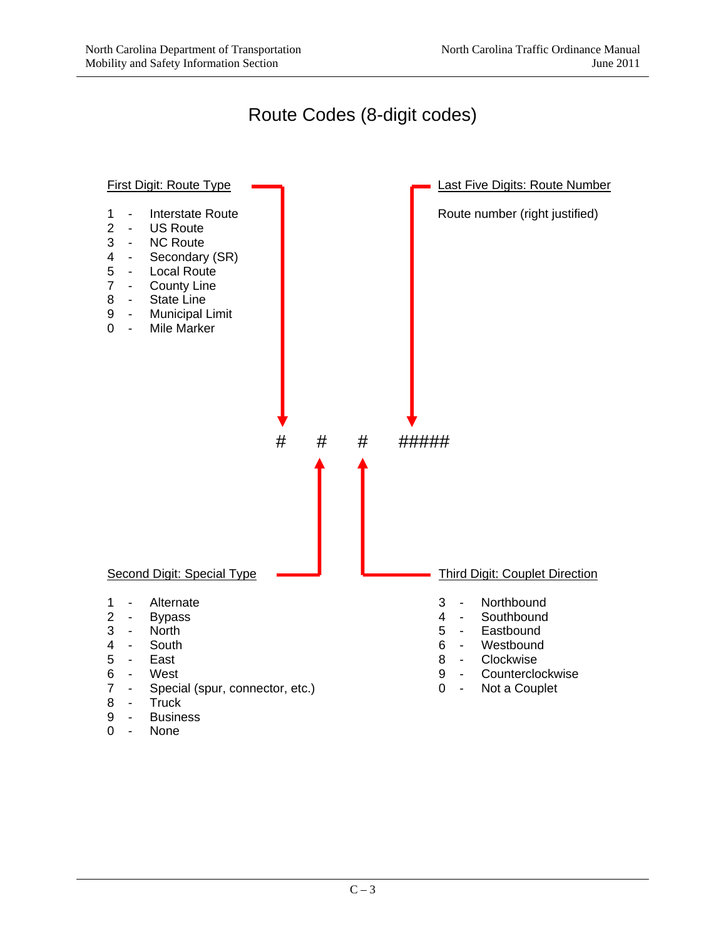Route Codes (8-digit codes)



- 9 Business<br>0 None
- None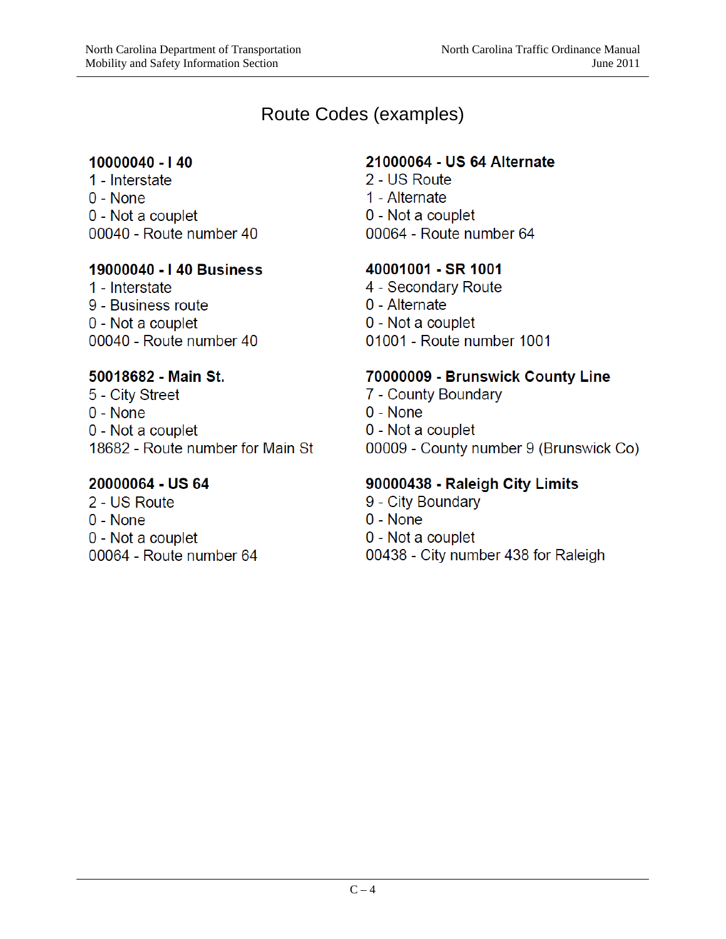### Route Codes (examples)

#### 10000040 - 140

1 - Interstate  $0 - None$ 0 - Not a couplet 00040 - Route number 40

#### 19000040 - I 40 Business

1 - Interstate 9 - Business route 0 - Not a couplet 00040 - Route number 40

#### 50018682 - Main St.

5 - City Street 0 - None 0 - Not a couplet 18682 - Route number for Main St

#### 20000064 - US 64

2 - US Route  $0 - None$ 0 - Not a couplet 00064 - Route number 64

#### 21000064 - US 64 Alternate

2 - US Route 1 - Alternate 0 - Not a couplet 00064 - Route number 64

### 40001001 - SR 1001

4 - Secondary Route 0 - Alternate 0 - Not a couplet 01001 - Route number 1001

### 70000009 - Brunswick County Line

- 7 County Boundary
- $0 None$
- 0 Not a couplet
- 00009 County number 9 (Brunswick Co)

### 90000438 - Raleigh City Limits

- 9 City Boundary
- $0 None$
- 0 Not a couplet
- 00438 City number 438 for Raleigh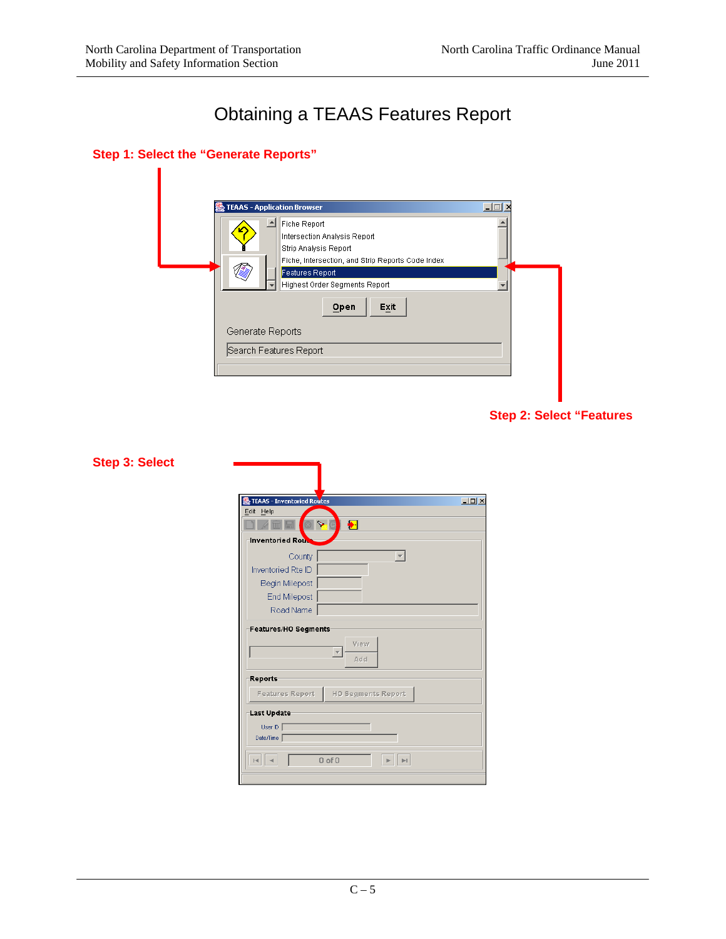# Obtaining a TEAAS Features Report

#### **Step 1: Select the "Generate Reports"**



|  |  |  | <b>Step 2: Select "Features</b> |
|--|--|--|---------------------------------|
|--|--|--|---------------------------------|

| TEAAS - Inventoried Routes<br>Edit Help | $\Box$ |
|-----------------------------------------|--------|
| $\bigstar$<br>⋟                         |        |
| <b>Inventoried Rout</b>                 |        |
| County<br>$\overline{\phantom{m}}$      |        |
| Inventoried Rte ID                      |        |
| Begin Milepost                          |        |
| End Milepost                            |        |
| Road Name                               |        |
| View<br>Add                             |        |
| <b>Reports</b>                          |        |
| HO Segments Report<br>Features Report   |        |
| Last Update                             |        |
| User ID                                 |        |
| Date/Time                               |        |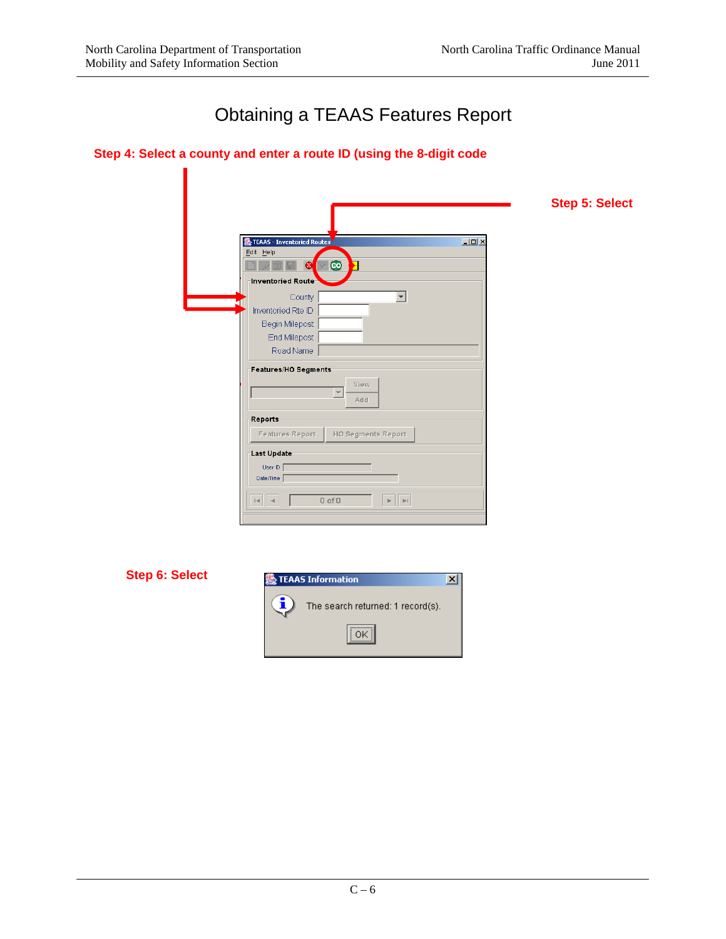Π

# Obtaining a TEAAS Features Report

|  | Step 4: Select a county and enter a route ID (using the 8-digit code |  |  |  |
|--|----------------------------------------------------------------------|--|--|--|
|--|----------------------------------------------------------------------|--|--|--|

|                                                                                              | <b>Step 5: Select</b> |
|----------------------------------------------------------------------------------------------|-----------------------|
|                                                                                              |                       |
| <b>Extended TEAAS</b> - Inventoried Routes<br>Edit Help                                      | $\Box$ D $\times$     |
| Σ<br>$\bullet$<br>⊛                                                                          |                       |
| Inventoried Route                                                                            |                       |
| County<br>$\blacktriangledown$                                                               |                       |
| Inventoried Rte ID                                                                           |                       |
|                                                                                              |                       |
| Begin Milepost                                                                               |                       |
| End Milepost                                                                                 |                       |
| Road Name                                                                                    |                       |
| Features/HO Segments                                                                         |                       |
| View                                                                                         |                       |
| $\overline{\phantom{a}}$<br>Add                                                              |                       |
|                                                                                              |                       |
| Reports                                                                                      |                       |
| Features Report<br><b>HO Segments Report</b>                                                 |                       |
| Last Update                                                                                  |                       |
| User ID                                                                                      |                       |
| Date/Time                                                                                    |                       |
|                                                                                              |                       |
| $0$ of $0$<br>$\mathbb{H}$<br>$\sim$<br>$\mathbb{H}$<br>$\left\vert \mathbf{r}\right\rangle$ |                       |
|                                                                                              |                       |
|                                                                                              |                       |

**Step 6: Select** 

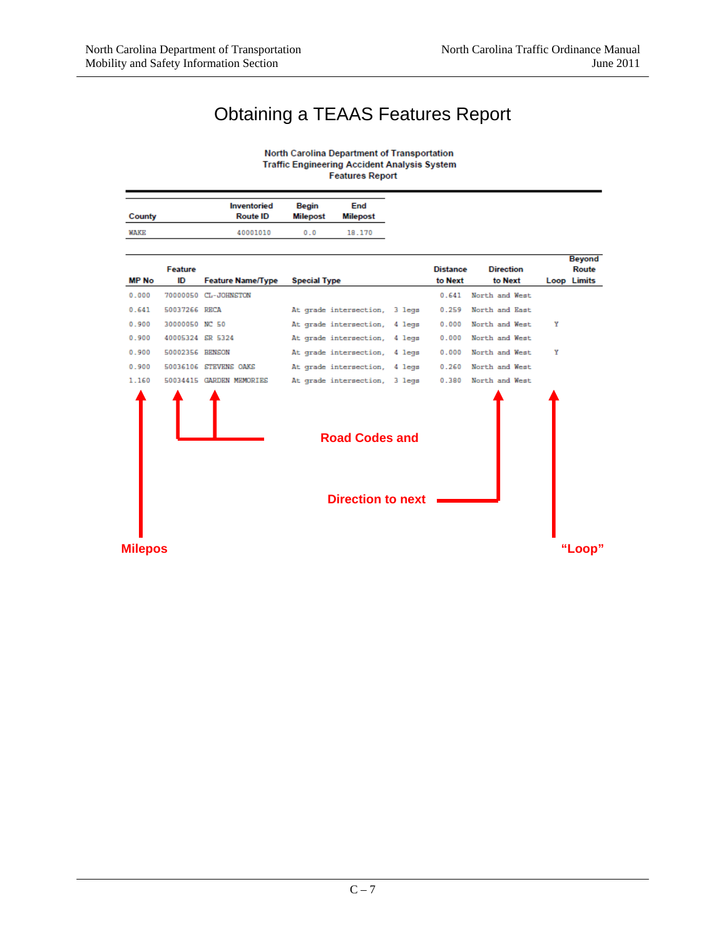# Obtaining a TEAAS Features Report

North Carolina Department of Transportation Traffic Engineering Accident Analysis System **Features Report** 

|        | Inventoried     | Begin    | End      |
|--------|-----------------|----------|----------|
| County | <b>Route ID</b> | Milepost | Milepost |
| WAKE   | 40001010        | 0.0      | 18.170   |

|                |                  |                          |                               |                 |                  |   | <b>Beyona</b>      |
|----------------|------------------|--------------------------|-------------------------------|-----------------|------------------|---|--------------------|
|                | Feature          |                          |                               | <b>Distance</b> | <b>Direction</b> |   | Route              |
| <b>MP No</b>   | ID               | <b>Feature Name/Type</b> | <b>Special Type</b>           | to Next         | to Next          |   | <b>Loop Limits</b> |
| 0.000          |                  | 70000050 CL-JOHNSTON     |                               | 0.641           | North and West   |   |                    |
| 0.641          | 50037266 RECA    |                          | At grade intersection, 3 legs | 0.259           | North and East   |   |                    |
| 0.900          | 30000050 NC 50   |                          | At grade intersection, 4 legs | 0.000           | North and West   | Υ |                    |
| 0.900          | 40005324 SR 5324 |                          | At grade intersection, 4 legs | 0.000           | North and West   |   |                    |
| 0.900          | 50002356 BENSON  |                          | At grade intersection, 4 legs | 0.000           | North and West   | Υ |                    |
| 0.900          |                  | 50036106 STEVENS OAKS    | At grade intersection, 4 legs | 0.260           | North and West   |   |                    |
| 1.160          |                  | 50034415 GARDEN MEMORIES | At grade intersection, 3 legs | 0.380           | North and West   |   |                    |
|                |                  |                          | <b>Road Codes and</b>         |                 |                  |   |                    |
|                |                  |                          | <b>Direction to next</b>      |                 |                  |   |                    |
| <b>Milepos</b> |                  |                          |                               |                 |                  |   | "Loop"             |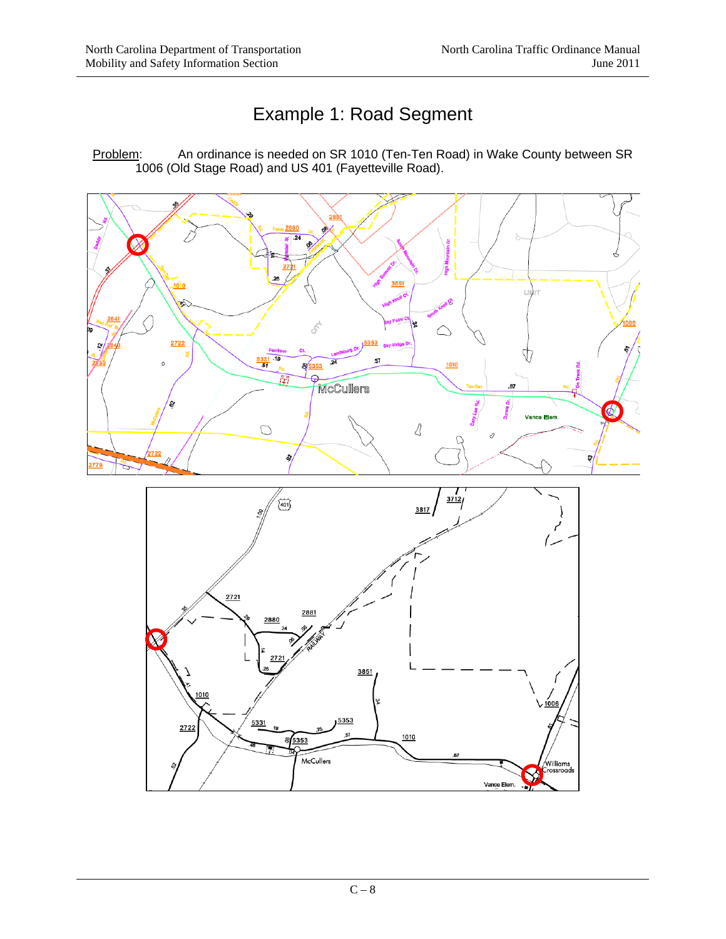# Example 1: Road Segment

Problem: An ordinance is needed on SR 1010 (Ten-Ten Road) in Wake County between SR 1006 (Old Stage Road) and US 401 (Fayetteville Road).



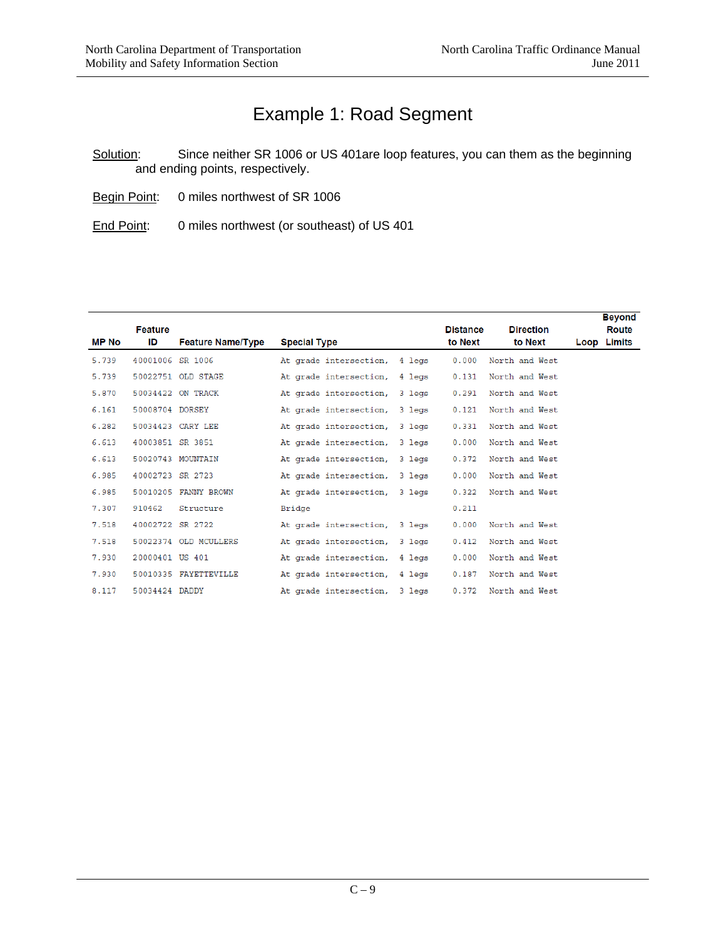## Example 1: Road Segment

Solution: Since neither SR 1006 or US 401are loop features, you can them as the beginning and ending points, respectively.

- Begin Point: 0 miles northwest of SR 1006
- End Point: 0 miles northwest (or southeast) of US 401

| MP No | <b>Feature</b><br>ID | <b>Feature Name/Type</b> | <b>Special Type</b>           | <b>Distance</b><br>to Next | <b>Direction</b><br>to Next | <b>Beyond</b><br><b>Route</b><br>Loop Limits |
|-------|----------------------|--------------------------|-------------------------------|----------------------------|-----------------------------|----------------------------------------------|
| 5.739 | 40001006 SR 1006     |                          | At grade intersection, 4 legs | 0.000                      | North and West              |                                              |
| 5.739 |                      | 50022751 OLD STAGE       | At grade intersection, 4 legs | 0.131                      | North and West              |                                              |
| 5.870 |                      | 50034422 ON TRACK        | At grade intersection, 3 legs | 0.291                      | North and West              |                                              |
| 6.161 | 50008704 DORSEY      |                          | At grade intersection, 3 legs | 0.121                      | North and West              |                                              |
| 6.282 |                      | 50034423 CARY LEE        | At grade intersection, 3 legs | 0.331                      | North and West              |                                              |
| 6.613 | 40003851 SR 3851     |                          | At grade intersection, 3 legs | 0.000                      | North and West              |                                              |
| 6.613 |                      | 50020743 MOUNTAIN        | At grade intersection, 3 legs | 0.372                      | North and West              |                                              |
| 6.985 | 40002723 SR 2723     |                          | At grade intersection, 3 legs | 0.000                      | North and West              |                                              |
| 6.985 |                      | 50010205 FANNY BROWN     | At grade intersection, 3 legs | 0.322                      | North and West              |                                              |
| 7.307 | 910462               | Structure                | Bridge                        | 0.211                      |                             |                                              |
| 7.518 | 40002722 SR 2722     |                          | At grade intersection, 3 legs | 0.000                      | North and West              |                                              |
| 7.518 |                      | 50022374 OLD MCULLERS    | At grade intersection, 3 legs | 0.412                      | North and West              |                                              |
| 7.930 | 20000401 US 401      |                          | At grade intersection, 4 legs | 0.000                      | North and West              |                                              |
| 7.930 |                      | 50010335 FAYETTEVILLE    | At grade intersection, 4 legs | 0.187                      | North and West              |                                              |
| 8.117 | 50034424 DADDY       |                          | At grade intersection, 3 legs | 0.372                      | North and West              |                                              |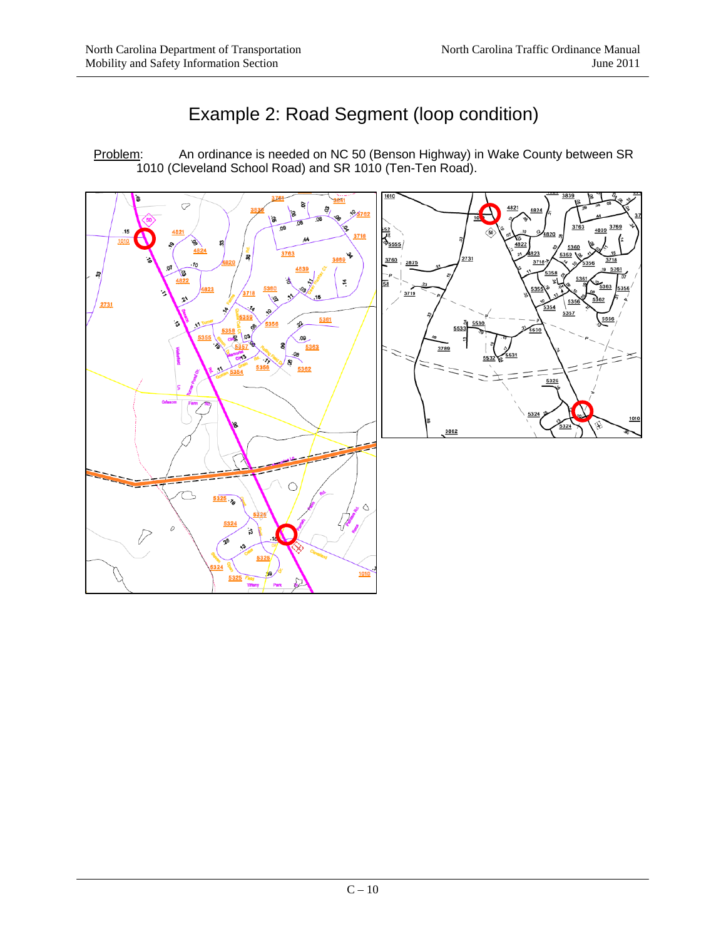# Example 2: Road Segment (loop condition)

Problem: An ordinance is needed on NC 50 (Benson Highway) in Wake County between SR 1010 (Cleveland School Road) and SR 1010 (Ten-Ten Road).

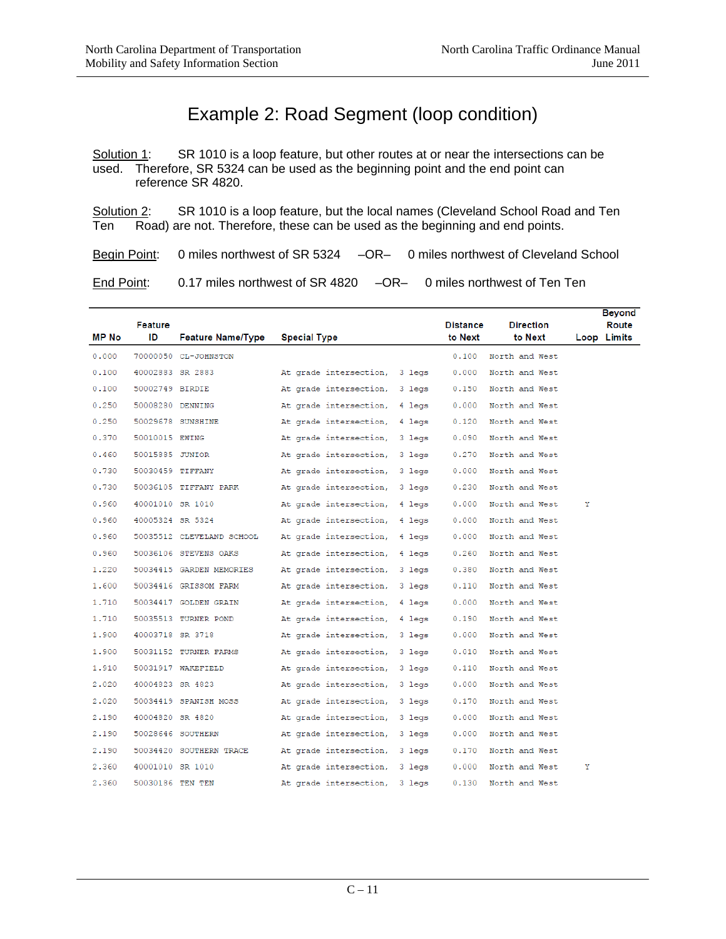# Example 2: Road Segment (loop condition)

Solution 1: SR 1010 is a loop feature, but other routes at or near the intersections can be used. Therefore, SR 5324 can be used as the beginning point and the end point can reference SR 4820.

Solution 2: SR 1010 is a loop feature, but the local names (Cleveland School Road and Ten Ten Road) are not. Therefore, these can be used as the beginning and end points.

Begin Point: 0 miles northwest of SR 5324 – OR- 0 miles northwest of Cleveland School

End Point: 0.17 miles northwest of SR 4820 – OR– 0 miles northwest of Ten Ten

| <b>MP No</b> | Feature<br>ID    | <b>Feature Name/Type</b>  | <b>Special Type</b>           |        | <b>Distance</b><br>to Next | <b>Direction</b><br>to Next |   | <b>Beyond</b><br>Route<br>Loop Limits |
|--------------|------------------|---------------------------|-------------------------------|--------|----------------------------|-----------------------------|---|---------------------------------------|
| 0.000        |                  | 70000050 CL-JOHNSTON      |                               |        | 0.100                      | North and West              |   |                                       |
| 0.100        | 40002883 SR 2883 |                           | At grade intersection, 3 legs |        | 0.000                      | North and West              |   |                                       |
| 0.100        | 50002749 BIRDIE  |                           | At grade intersection, 3 legs |        | 0.150                      | North and West              |   |                                       |
| 0.250        |                  | 50008280 DENNING          | At grade intersection, 4 legs |        | 0.000                      | North and West              |   |                                       |
| 0.250        |                  | 50029678 SUNSHINE         | At grade intersection, 4 legs |        | 0.120                      | North and West              |   |                                       |
| 0.370        | 50010015 EWING   |                           | At grade intersection, 3 legs |        | 0.090                      | North and West              |   |                                       |
| 0.460        | 50015885 JUNIOR  |                           | At grade intersection,        | 3 legs | 0.270                      | North and West              |   |                                       |
| 0.730        | 50030459 TIFFANY |                           | At grade intersection, 3 legs |        | 0.000                      | North and West              |   |                                       |
| 0.730        |                  | 50036105 TIFFANY PARK     | At grade intersection, 3 legs |        | 0.230                      | North and West              |   |                                       |
| 0.960        | 40001010 SR 1010 |                           | At grade intersection,        | 4 legs | 0.000                      | North and West              | Υ |                                       |
| 0.960        | 40005324 SR 5324 |                           | At grade intersection, 4 legs |        | 0.000                      | North and West              |   |                                       |
| 0.960        |                  | 50035512 CLEVELAND SCHOOL | At grade intersection,        | 4 legs | 0.000                      | North and West              |   |                                       |
| 0.960        |                  | 50036106 STEVENS OAKS     | At grade intersection,        | 4 legs | 0.260                      | North and West              |   |                                       |
| 1.220        |                  | 50034415 GARDEN MEMORIES  | At grade intersection, 3 legs |        | 0.380                      | North and West              |   |                                       |
| 1.600        |                  | 50034416 GRISSOM FARM     | At grade intersection, 3 legs |        | 0.110                      | North and West              |   |                                       |
| 1.710        |                  | 50034417 GOLDEN GRAIN     | At grade intersection, 4 legs |        | 0.000                      | North and West              |   |                                       |
| 1.710        |                  | 50035513 TURNER POND      | At grade intersection, 4 legs |        | 0.190                      | North and West              |   |                                       |
| 1,900        | 40003718 SR 3718 |                           | At grade intersection, 3 legs |        | 0.000                      | North and West              |   |                                       |
| 1,900        |                  | 50031152 TURNER FARMS     | At grade intersection, 3 legs |        | 0.010                      | North and West              |   |                                       |
| 1.910        |                  | 50031917 WAKEFIELD        | At grade intersection, 3 legs |        | 0.110                      | North and West              |   |                                       |
| 2,020        | 40004823 SR 4823 |                           | At grade intersection, 3 legs |        | 0.000                      | North and West              |   |                                       |
| 2.020        |                  | 50034419 SPANISH MOSS     | At grade intersection, 3 legs |        | 0.170                      | North and West              |   |                                       |
| 2.190        | 40004820 SR 4820 |                           | At grade intersection,        | 3 legs | 0.000                      | North and West              |   |                                       |
| 2.190        |                  | 50028646 SOUTHERN         | At grade intersection, 3 legs |        | 0.000                      | North and West              |   |                                       |
| 2.190        |                  | 50034420 SOUTHERN TRACE   | At grade intersection, 3 legs |        | 0.170                      | North and West              |   |                                       |
| 2.360        | 40001010 SR 1010 |                           | At grade intersection, 3 legs |        | 0.000                      | North and West              | Υ |                                       |
| 2.360        | 50030186 TEN TEN |                           | At grade intersection,        | 3 legs | 0.130                      | North and West              |   |                                       |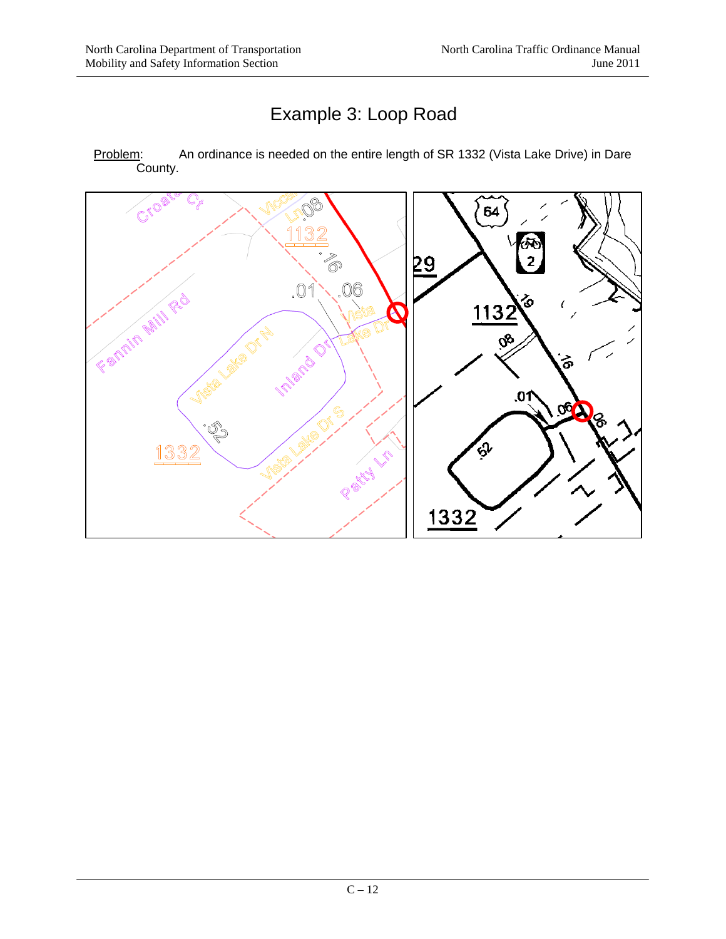# Example 3: Loop Road

Problem: An ordinance is needed on the entire length of SR 1332 (Vista Lake Drive) in Dare County.